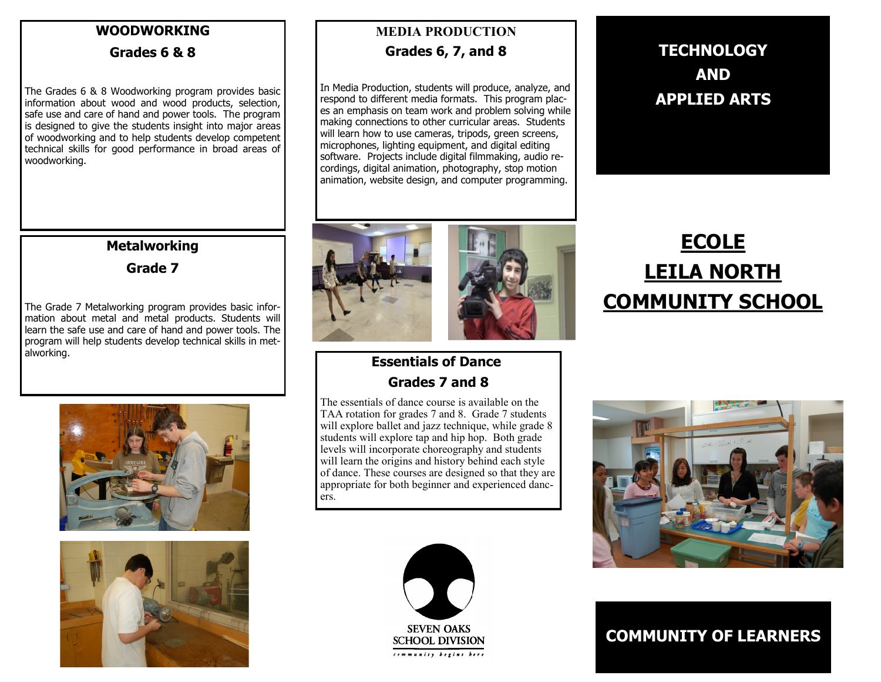#### **WOODWORKING**

#### **Grades 6 & 8**

The Grades 6 & 8 Woodworking program provides basic information about wood and wood products, selection, safe use and care of hand and power tools. The program is designed to give the students insight into major areas of woodworking and to help students develop competent technical skills for good performance in broad areas of woodworking.

## **Metalworking Grade 7**

The Grade 7 Metalworking program provides basic information about metal and metal products. Students will learn the safe use and care of hand and power tools. The program will help students develop technical skills in metalworking.





# **MEDIA PRODUCTION Grades 6, 7, and 8**

In Media Production, students will produce, analyze, and respond to different media formats. This program places an emphasis on team work and problem solving while making connections to other curricular areas. Students will learn how to use cameras, tripods, green screens, microphones, lighting equipment, and digital editing software. Projects include digital filmmaking, audio recordings, digital animation, photography, stop motion animation, website design, and computer programming.



# **ECOLE LEILA NORTH COMMUNITY SCHOOL**

## **Essentials of Dance Grades 7 and 8**

The essentials of dance course is available on the TAA rotation for grades 7 and 8. Grade 7 students will explore ballet and jazz technique, while grade 8 students will explore tap and hip hop. Both grade levels will incorporate choreography and students will learn the origins and history behind each style of dance. These courses are designed so that they are appropriate for both beginner and experienced dancers.





**COMMUNITY OF LEARNERS**